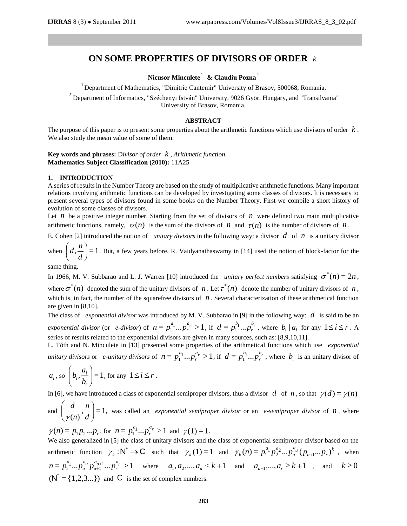# **ON SOME PROPERTIES OF DIVISORS OF ORDER**  *k*

**Nicusor Minculete** 1 **& Claudiu Pozna** 2

<sup>1</sup> Department of Mathematics, "Dimitrie Cantemir" University of Brasov, 500068, Romania.

<sup>2</sup> Department of Informatics, "Széchenyi István" University, 9026 Györ, Hungary, and "Transilvania" University of Brasov, Romania.

## **ABSTRACT**

The purpose of this paper is to present some properties about the arithmetic functions which use divisors of order *k* . We also study the mean value of some of them.

**Key words and phrases:** D*ivisor of order k , Arithmetic function.* **Mathematics Subject Classification (2010):** 11A25

### **1. INTRODUCTION**

A series of results in the Number Theory are based on the study of multiplicative arithmetic functions. Many important relations involving arithmetic functions can be developed by investigating some classes of divisors. It is necessary to present several types of divisors found in some books on the Number Theory. First we compile a short history of evolution of some classes of divisors.

Let  $n$  be a positive integer number. Starting from the set of divisors of  $n$  were defined two main multiplicative arithmetic functions, namely,  $\sigma(n)$  is the sum of the divisors of n and  $\tau(n)$  is the number of divisors of n.

E. Cohen [2] introduced the notion of *unitary divisors* in the following way: a divisor  $d$  of  $n$  is a unitary divisor ſ

when  $|d, \frac{h}{1}| = 1$ J  $\left(d,\frac{n}{\cdot}\right)$  $\setminus$ *d*  $d, \frac{n}{n}$  = 1. But, a few years before, R. Vaidyanathaswamy in [14] used the notion of block-factor for the

same thing.

In 1966, M. V. Subbarao and L. J. Warren [10] introduced the *unitary perfect numbers* satisfying  $\sigma^*(n) = 2n$ ,

where  $\sigma^*(n)$  denoted the sum of the unitary divisors of n. Let  $\tau^*(n)$  denote the number of unitary divisors of n, which is, in fact, the number of the squarefree divisors of  $n$ . Several characterization of these arithmetical function are given in [8,10].

The class of *exponential divisor* was introduced by M. V. Subbarao in [9] in the following way:  $d$  is said to be an *exponential divisor* (or *e-divisor*) of  $n = p_1^{a_1} ... p_r^{a_r} > 1$ *r*  $n = p_1^{a_1} ... p_r^{a_r} > 1$ , if  $d = p_1^{b_1} ... p_r^{b_r}$ *r*  $d = p_1^{b_1} ... p_r^{b_r}$ , where  $b_i | a_i$  for any  $1 \le i \le r$ . A series of results related to the exponential divisors are given in many sources, such as: [8,9,10,11].

L. Tóth and N. Minculete in [13] presented some properties of the arithmetical functions which use *exponential unitary divisors* or *e-unitary divisors* of  $n = p_1^{a_1} ... p_r^{a_r} > 1$ *r*  $n = p_1^{a_1} ... p_r^{a_r} > 1$ , if  $d = p_1^{b_1} ... p_r^{b_r}$ *r*  $d = p_1^{b_1} ... p_r^{b_r}$ , where  $b_i$  is an unitary divisor of

$$
a_i
$$
, so  $\left(b_i, \frac{a_i}{b_i}\right) = 1$ , for any  $1 \le i \le r$ .

In [6], we have introduced a class of exponential semiproper divisors, thus a divisor  $d$  of  $n$ , so that  $\gamma(d) = \gamma(n)$ 

and 
$$
\left(\frac{d}{\gamma(n)}, \frac{n}{d}\right) = 1
$$
, was called an *exponential semiproper divisor* or an *e-semiproper divisor* of *n*, where

 $\gamma(n) = p_1 p_2 ... p_r$ , for  $n = p_1^{a_1} ... p_r^{a_r} > 1$ *r*  $n = p_1^{a_1} ... p_r^{a_r} > 1$  and  $\gamma(1) = 1$ .

We also generalized in [5] the class of unitary divisors and the class of exponential semiproper divisor based on the arithmetic function  $\gamma_k : \mathbb{N}^* \to \mathbb{C}$  such that  $\gamma_k(1) = 1$  and  $\gamma_k(n) = p_1^{a_1} p_2^{a_2} ... p_u^{a_u} (p_{u+1} ... p_r)^k$  $u_{u}^{a}$  ( $p_{u+1}...p_{n}$ *u a a*  $\gamma_k(n) = p_1^{a_1} p_2^{a_2} ... p_u^{a_u} (p_{u+1}...p_r)^k$ , when  $= p_1^{a_1} ... p_u^{a_u} p_{u+1}^{a_{u+1}} ... p_r^{a_r} > 1$  $a_{u+1}^a \dots p_r^a$ *u u a u*  $n = p_1^{a_1} \dots p_u^{a_u} p_{u+1}^{a_{u+1}} \dots p_r^{a_r} > 1$  where  $a_1, a_2, \dots, a_u < k+1$  and  $a_{u+1}, \dots, a_r \ge k+1$ , and  $k \ge 0$  $(N^* = \{1,2,3...\})$  and C is the set of complex numbers.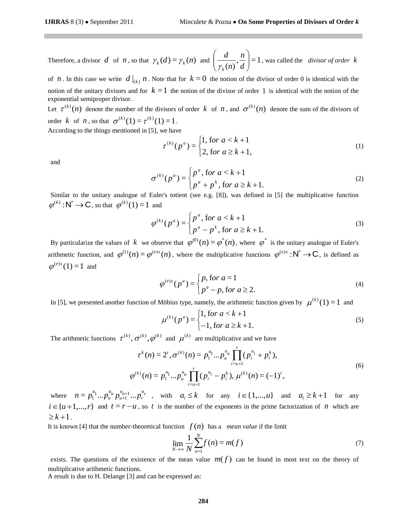Therefore, a divisor d of n, so that  $\gamma_k(d) = \gamma_k(n)$  and  $\left| \frac{d}{dx} \right|, \frac{d}{dx} = 1$  $\left(\frac{n}{(n)}, \frac{n}{d}\right)$  $\bigg)$  $\backslash$  $\overline{\phantom{a}}$  $\setminus$ ſ *d n n d*  $\mathcal{Y}_k$ , was called the *divisor of order k*

of *n*. In this case we write  $d|_{(k)}$  *n*. Note that for  $k = 0$  the notion of the divisor of order 0 is identical with the notion of the unitary divisors and for  $k = 1$  the notion of the divisor of order 1 is identical with the notion of the exponential semiproper divisor.

Let  $\tau^{(k)}(n)$  denote the number of the divisors of order k of n, and  $\sigma^{(k)}(n)$  denote the sum of the divisors of order *k* of *n*, so that  $\sigma^{(k)}(1) = \tau^{(k)}(1) = 1$ .

According to the things mentioned in [5], we have

$$
\tau^{(k)}(p^a) = \begin{cases} 1, \text{ for } a < k+1 \\ 2, \text{ for } a \ge k+1, \end{cases} \tag{1}
$$

and

$$
\sigma^{(k)}(p^a) = \begin{cases} p^a, \text{for } a < k+1 \\ p^a + p^k, \text{for } a \ge k+1. \end{cases} \tag{2}
$$

Similar to the unitary analogue of Euler's totient (see e.g. [8]), was defined in [5] the multiplicative function  $\varphi^{(k)} : \mathbb{N}^* \to \mathbb{C}$ , so that  $\varphi^{(k)}(1) = 1$  and

$$
\varphi^{(k)}(p^a) = \begin{cases} p^a, \text{for } a < k+1 \\ p^a - p^k, \text{for } a \ge k+1. \end{cases} \tag{3}
$$

By particularize the values of k we observe that  $\varphi^{(0)}(n) = \varphi^*(n)$ , where  $\varphi^*$  is the unitary analogue of Euler's arithmetic function, and  $\varphi^{(1)}(n) = \varphi^{(e)s}(n)$ , where the multiplicative functions  $\varphi^{(e)s}: \mathbb{N}^* \to \mathbb{C}$ , is defined as  $\varphi^{(e)s}(1) = 1$  and

$$
\varphi^{(e)s}(p^a) = \begin{cases} p, \text{for } a = 1\\ p^a - p, \text{for } a \ge 2. \end{cases}
$$
\n
$$
(4)
$$

In [5], we presented another function of Möbius type, namely, the arithmetic function given by  $\mu^{(k)}(1) = 1$  and

$$
\mu^{(k)}(p^a) = \begin{cases} 1, \text{ for } a < k+1 \\ -1, \text{ for } a \ge k+1. \end{cases} \tag{5}
$$

The arithmetic functions  $\tau^{(k)}$ ,  $\sigma^{(k)}$ ,  $\varphi^{(k)}$  and  $\mu^{(k)}$  are multiplicative and we have

$$
\tau^{k}(n) = 2^{t}, \sigma^{(k)}(n) = p_{1}^{a_{1}}...p_{u}^{a_{u}} \prod_{i=u+1}^{r} (p_{i}^{a_{i}} + p_{i}^{k}),
$$
  
\n
$$
\varphi^{(k)}(n) = p_{1}^{a_{1}}...p_{u}^{a_{u}} \prod_{i=u+1}^{r} (p_{i}^{a_{i}} - p_{i}^{k}), \mu^{(k)}(n) = (-1)^{t},
$$
\n(6)

where  $n = p_1^{a_1} ... p_u^{a_u} p_{u+1}^{a_{u+1}} ... p_r^{a_r}$  $a_{u+1}^a \dots p_r^a$ *u u a u*  $n = p_1^{a_1} ... p_u^{a_u} p_{u+1}^{a_{u+1}} ... p_r^{a_r}$ , with  $a_i \le k$  for any  $i \in \{1,...,u\}$  and  $a_i \ge k+1$  for any  $i \in \{u+1,...,r\}$  and  $t = r-u$ , so t is the number of the exponents in the prime factorization of  $n$  which are  $\geq k+1$ .

It is known [4] that the number-theoretical function  $f(n)$  has a *mean value* if the limit

$$
\lim_{N \to \infty} \frac{1}{N} \sum_{n=1}^{N} f(n) = m(f) \tag{7}
$$

exists. The questions of the existence of the mean value  $m(f)$  can be found in most text on the theory of multiplicative arithmetic functions.

A result is due to H. Delange [3] and can be expressed as: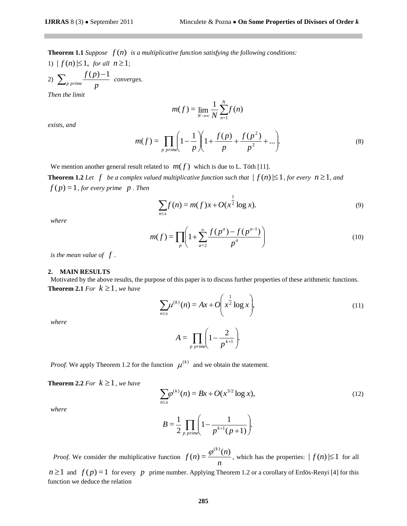**Theorem 1.1** *Suppose*  $f(n)$  is a multiplicative function satisfying the following conditions:

1)  $|f(n)| \leq 1$ , *for all*  $n \geq 1$ ; 2)  $\sum_{p \text{ prime}} \frac{f(P)}{p}$ *f p p prime*  $\sum_{p \text{ prime}} \frac{f(p)-1}{p}$  converges. *Then the limit* 

$$
m(f) = \lim_{N \to \infty} \frac{1}{N} \sum_{n=1}^{N} f(n)
$$

*exists, and* 

$$
m(f) = \prod_{p \text{ prime}} \left( 1 - \frac{1}{p} \right) \left( 1 + \frac{f(p)}{p} + \frac{f(p^2)}{p^2} + \dots \right).
$$
 (8)

We mention another general result related to  $m(f)$  which is due to L. Tóth [11].

**Theorem 1.2** Let  $f$  be a complex valued multiplicative function such that  $| f(n)| \leq 1$ , for every  $n \geq 1$ , and  $f(p)=1$ , for every prime  $p$ . Then

$$
\sum_{n \le x} f(n) = m(f)x + O(x^{\frac{1}{2}} \log x).
$$
 (9)

*where* 

$$
m(f) = \prod_{p} \left( 1 + \sum_{a=2}^{\infty} \frac{f(p^a) - f(p^{a-1})}{p^a} \right)
$$
 (10)

*is the mean value of f .* 

#### **2. MAIN RESULTS**

Motivated by the above results, the purpose of this paper is to discuss further properties of these arithmetic functions. **Theorem 2.1** For  $k \geq 1$ , we have

$$
\sum_{n \le x} \mu^{(k)}(n) = Ax + O\left(x^{\frac{1}{2}} \log x\right),\tag{11}
$$

*where* 

$$
A = \prod_{p \text{ prime}} \left( 1 - \frac{2}{p^{k+1}} \right).
$$

*Proof.* We apply Theorem 1.2 for the function  $\mu^{(k)}$  and we obtain the statement.

**Theorem 2.2** For  $k \geq 1$ , we have

$$
\sum_{n \le x} \varphi^{(k)}(n) = Bx + O(x^{3/2} \log x),\tag{12}
$$

*where* 

$$
B = \frac{1}{2} \prod_{p \text{ prime}} \left( 1 - \frac{1}{p^{k+1}(p+1)} \right).
$$

*Proof.* We consider the multiplicative function  $f(n) = \frac{r}{n}$  $f(n) = \frac{\varphi^{(k)}(n)}{n}$  $h(n) = \frac{\varphi^{(k)}(n)}{n}$ , which has the properties:  $|f(n)| \le 1$  for all

 $n \ge 1$  and  $f(p) = 1$  for every p prime number. Applying Theorem 1.2 or a corollary of Erdös-Renyi [4] for this function we deduce the relation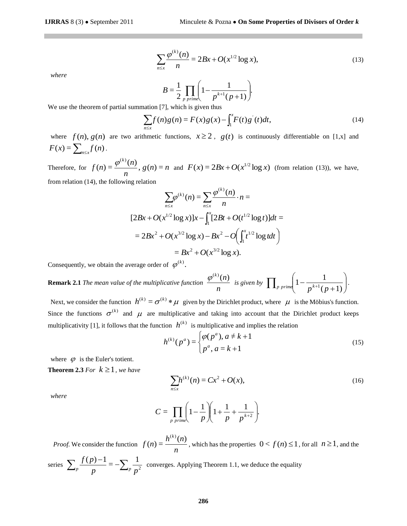$$
\sum_{n \le x} \frac{\varphi^{(k)}(n)}{n} = 2Bx + O(x^{1/2} \log x),\tag{13}
$$

*where* 

$$
B = \frac{1}{2} \prod_{p \text{ prime}} \left( 1 - \frac{1}{p^{k+1}(p+1)} \right).
$$

We use the theorem of partial summation [7], which is given thus

$$
\sum_{n \le x} f(n)g(n) = F(x)g(x) - \int_1^x F(t)g'(t)dt,
$$
\n(14)

where  $f(n)$ ,  $g(n)$  are two arithmetic functions,  $x \ge 2$ ,  $g(t)$  is continuously differentiable on [1,x] and  $F(x) = \sum_{n \leq x} f(n)$ .

Therefore, for  $f(n) = \frac{\varphi(n)}{n}$ ,  $g(n) = n$ *n*  $f(n) = \frac{\varphi^{(k)}(n)}{n}$ *k*  $(n) = \frac{\varphi^{(k)}(n)}{n}$ ,  $g(n) = n$  and  $F(x) = 2Bx + O(x^{1/2} \log x)$  (from relation (13)), we have, from relation (14), the following relation

$$
\sum_{n \leq x} \frac{\varphi^{(k)}(n)}{n} = 2Bx + O(x^{1/2} \log x),
$$
\n
$$
B = \frac{1}{2} \prod_{p \text{ prime}} \left( 1 - \frac{1}{p^{k+1}(p+1)} \right)
$$
\n
$$
\text{unmation [7], which is given thus}
$$
\n
$$
\sum_{n \leq x} f(n)g(n) = F(x)g(x) - \int_1^x F(t)g'(t)dt,
$$
\n
$$
\text{arithmetic functions, } x \geq 2, g(t) \text{ is continuously}
$$
\n
$$
\frac{n}{2}, g(n) = n \text{ and } F(x) = 2Bx + O(x^{1/2} \log x) \text{ (from the following equation)}
$$
\n
$$
\sum_{n \leq x} \varphi^{(k)}(n) = \sum_{n \leq x} \frac{\varphi^{(k)}(n)}{n} \cdot n =
$$
\n
$$
[2Bx + O(x^{1/2} \log x)]x - \int_1^x [2Bt + O(t^{1/2} \log t)]dt =
$$
\n
$$
= 2Bx^2 + O(x^{3/2} \log x) - Bx^2 - O\left(\int_1^x t^{1/2} \log t dt\right)
$$
\n
$$
= Bx^2 + O(x^{3/2} \log x).
$$
\n
$$
\text{Hence, } \varphi^{(k)}(n) = Bx^{2} + O(x^{3/2} \log x).
$$
\n
$$
\text{Hence, } \varphi^{(k)}(n) = \int_1^x \frac{1}{2} \int_1^x \frac{1}{2} \log t dt + \int_1^x \frac{1}{2} \log t dt + \int_1^x \frac{1}{2} \log t dt + \int_1^x \frac{1}{2} \log t dt + \int_1^x \frac{1}{2} \log t dt + \int_1^x \frac{1}{2} \log t dt + \int_1^x \frac{1}{2} \log t dt + \int_1^x \frac{1}{2} \log t dt + \int_1^x \frac{1}{2} \log t dt + \int_1^x \frac{1}{2} \log t dt + \int_1^x \frac{1}{2} \log t dt + \int_1^x \frac{1}{2} \log t dt + \int_1^x \frac{1}{2} \log t dt + \int_1^x \
$$

Consequently, we obtain the average order of  $\varphi^{(k)}$ .

**Remark 2.1** *The mean value of the multiplicative function n*  $\frac{\varphi^{(k)}(n)}{n}$  is given by  $\prod_{p \text{ prime}} \left(1 - \frac{1}{n^{k+1}(n+1)}\right)$ J  $\backslash$  $\overline{\phantom{a}}$  $\setminus$ ſ  $\prod_{p \ prime} \left( 1 - \frac{1}{p^{k+1}(p+1)} \right)$ *p p rime*  $\left(1 - \frac{1}{p^{k+1}(p+1)}\right)$ .

Next, we consider the function  $h^{(k)} = \sigma^{(k)} * \mu$  given by the Dirichlet product, where  $\mu$  is the Möbius's function. Since the functions  $\sigma^{(k)}$  and  $\mu$  are multiplicative and taking into account that the Dirichlet product keeps multiplicativity [1], it follows that the function  $h^{(k)}$  is multiplicative and implies the relation

$$
h^{(k)}(p^a) = \begin{cases} \varphi(p^a), a \neq k+1\\ p^a, a = k+1 \end{cases}
$$
 (15)

where  $\varphi$  is the Euler's totient.

**Theorem 2.3** For  $k \geq 1$ , we have

$$
\sum_{n \le x} h^{(k)}(n) = Cx^2 + O(x),\tag{16}
$$

*where* 

$$
C = \prod_{p \text{ prime}} \left( 1 - \frac{1}{p} \right) \left( 1 + \frac{1}{p} + \frac{1}{p^{k+2}} \right).
$$

*Proof.* We consider the function  $f(n) = \frac{n}{n}$  $f(n) = \frac{h^{(k)}(n)}{h^{(k)}}$  $(n) = \frac{h^{(k)}(n)}{h^{(k)}(n)}$  $(k)$ , which has the properties  $0 < f(n) \leq 1$ , for all  $n \geq 1$ , and the 1  $(p) - 1$ *f p* -

series 
$$
\sum_{p} \frac{f(p)-1}{p} = -\sum_{p} \frac{1}{p^2}
$$
 converges. Applying Theorem 1.1, we deduce the equality